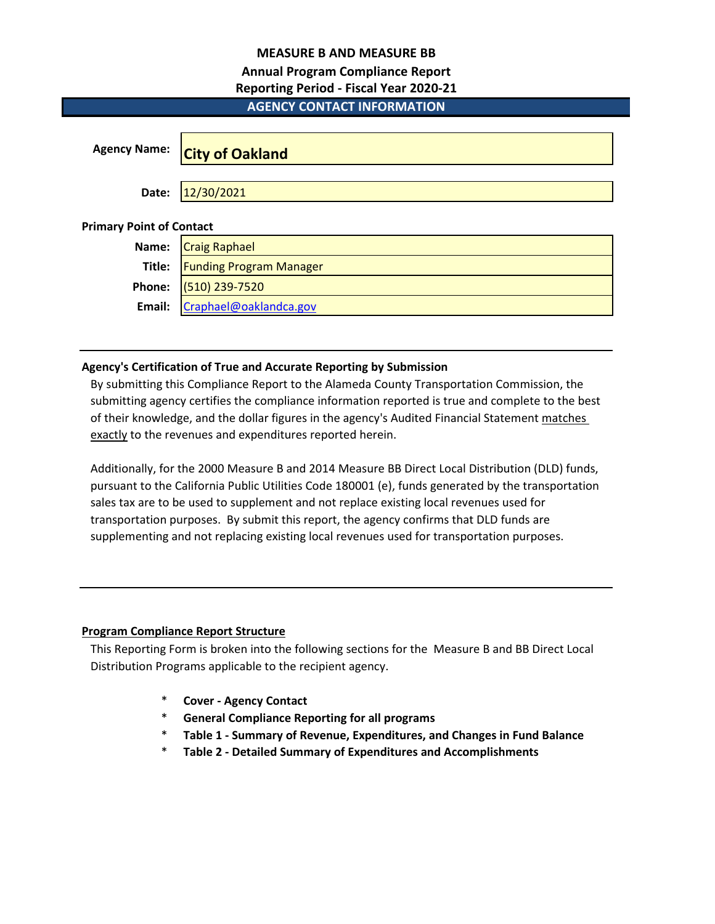### **MEASURE B AND MEASURE BB**

## **Annual Program Compliance Report**

### **Reporting Period - Fiscal Year 2020-21**

## **AGENCY CONTACT INFORMATION**

| <b>Agency Name:</b>             | <b>City of Oakland</b>         |  |  |  |  |  |  |
|---------------------------------|--------------------------------|--|--|--|--|--|--|
| Date:                           | 12/30/2021                     |  |  |  |  |  |  |
| <b>Primary Point of Contact</b> |                                |  |  |  |  |  |  |
| Name:                           | <b>Craig Raphael</b>           |  |  |  |  |  |  |
| Title:                          | <b>Funding Program Manager</b> |  |  |  |  |  |  |
| Phone:                          | (510) 239-7520                 |  |  |  |  |  |  |
| Email:                          | Craphael@oaklandca.gov         |  |  |  |  |  |  |

### **Agency's Certification of True and Accurate Reporting by Submission**

By submitting this Compliance Report to the Alameda County Transportation Commission, the submitting agency certifies the compliance information reported is true and complete to the best of their knowledge, and the dollar figures in the agency's Audited Financial Statement matches exactly to the revenues and expenditures reported herein.

Additionally, for the 2000 Measure B and 2014 Measure BB Direct Local Distribution (DLD) funds, pursuant to the California Public Utilities Code 180001 (e), funds generated by the transportation sales tax are to be used to supplement and not replace existing local revenues used for transportation purposes. By submit this report, the agency confirms that DLD funds are supplementing and not replacing existing local revenues used for transportation purposes.

## **Program Compliance Report Structure**

This Reporting Form is broken into the following sections for the Measure B and BB Direct Local Distribution Programs applicable to the recipient agency.

- \* **Cover Agency Contact**
- \* **General Compliance Reporting for all programs**
- \* **Table 1 Summary of Revenue, Expenditures, and Changes in Fund Balance**
- \* **Table 2 Detailed Summary of Expenditures and Accomplishments**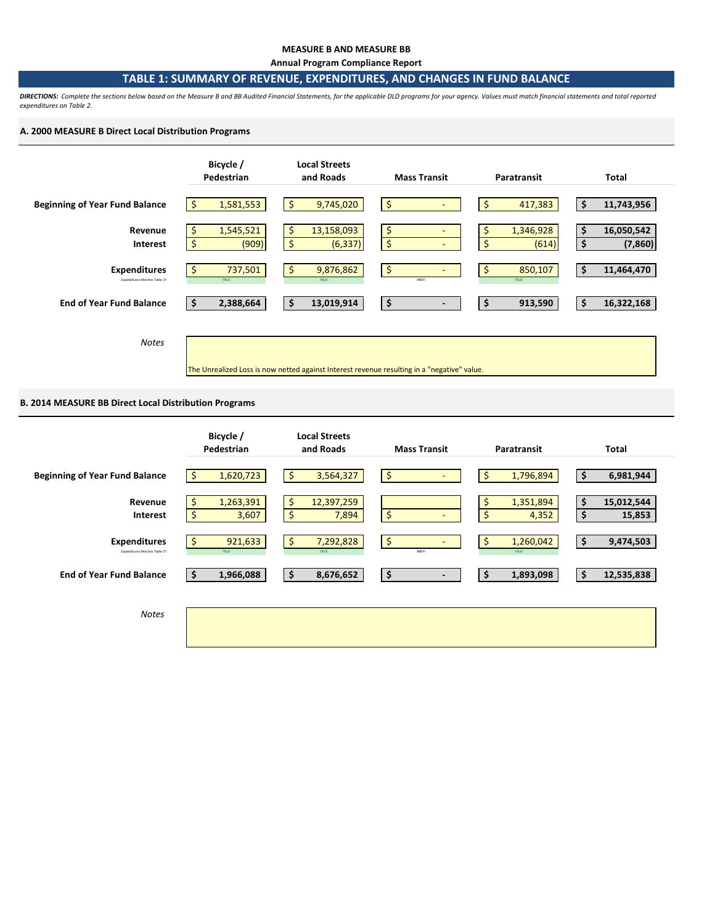#### **MEASURE B AND MEASURE BB**

**Annual Program Compliance Report**

### **TABLE 1: SUMMARY OF REVENUE, EXPENDITURES, AND CHANGES IN FUND BALANCE**

*DIRECTIONS: Complete the sections below based on the Measure B and BB Audited Financial Statements, for the applicable DLD programs for your agency. Values must match financial statements and total reported expenditures on Table 2.* 

#### **A. 2000 MEASURE B Direct Local Distribution Programs**



### **B. 2014 MEASURE BB Direct Local Distribution Programs**

|                                                      | Bicycle /<br>Pedestrian       | <b>Local Streets</b><br>and Roads | <b>Mass Transit</b>  | Paratransit              | Total                            |
|------------------------------------------------------|-------------------------------|-----------------------------------|----------------------|--------------------------|----------------------------------|
| <b>Beginning of Year Fund Balance</b>                | \$<br>1,620,723               | $\zeta$<br>3,564,327              | \$                   | \$<br>1,796,894          | 6,981,944<br>\$                  |
| Revenue<br>Interest                                  | 1,263,391<br>S<br>\$<br>3,607 | \$<br>12,397,259<br>\$<br>7,894   | \$<br>٠              | 1,351,894<br>\$<br>4,352 | 15,012,544<br>\$<br>\$<br>15,853 |
| <b>Expenditures</b><br>Expenditures Matches Table 2? | 921,633<br>Ŝ<br>TRUE          | \$<br>7,292,828<br>TRUE           | \$<br><b>AREF!</b>   | 1,260,042<br>\$.<br>TRUE | 9,474,503<br>\$                  |
| <b>End of Year Fund Balance</b>                      | 1,966,088<br>-\$              | 8,676,652<br>$\ddot{\bm{\zeta}}$  | \$<br>$\blacksquare$ | 1,893,098<br>\$          | 12,535,838<br>\$                 |
| <b>Notes</b>                                         |                               |                                   |                      |                          |                                  |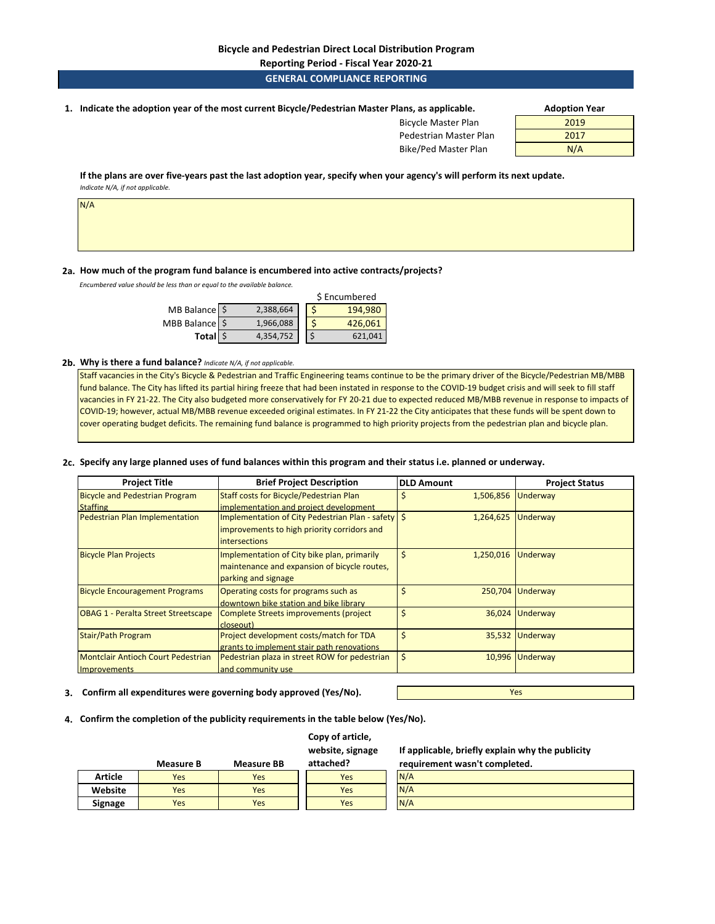## **Reporting Period - Fiscal Year 2020-21**

### **GENERAL COMPLIANCE REPORTING**

**1. Adoption Year Indicate the adoption year of the most current Bicycle/Pedestrian Master Plans, as applicable.** 

Bicycle Master Plan Pedestrian Master Plan Bike/Ped Master Plan

| <b>Adoption Year</b> |  |
|----------------------|--|
| 2019                 |  |
| 2017                 |  |
| N/L                  |  |

#### **If the plans are over five-years past the last adoption year, specify when your agency's will perform its next update.**  *Indicate N/A, if not applicable.*

| N/A |
|-----|
|     |
|     |
|     |

#### **2a. How much of the program fund balance is encumbered into active contracts/projects?**

*Encumbered value should be less than or equal to the available balance.* 

|                  |           | \$ Encumbered |
|------------------|-----------|---------------|
| MB Balance   \$  | 2,388,664 | 194,980       |
| MBB Balance   \$ | 1,966,088 | 426,061       |
| Total \$         | 4,354,752 | 621,041       |

#### **2b. Why is there a fund balance?** *Indicate N/A, if not applicable.*

Staff vacancies in the City's Bicycle & Pedestrian and Traffic Engineering teams continue to be the primary driver of the Bicycle/Pedestrian MB/MBB fund balance. The City has lifted its partial hiring freeze that had been instated in response to the COVID-19 budget crisis and will seek to fill staff vacancies in FY 21-22. The City also budgeted more conservatively for FY 20-21 due to expected reduced MB/MBB revenue in response to impacts of COVID-19; however, actual MB/MBB revenue exceeded original estimates. In FY 21-22 the City anticipates that these funds will be spent down to cover operating budget deficits. The remaining fund balance is programmed to high priority projects from the pedestrian plan and bicycle plan.

### **2c. Specify any large planned uses of fund balances within this program and their status i.e. planned or underway.**

| <b>Project Title</b>                       | <b>Brief Project Description</b>                              | <b>DLD Amount</b> | <b>Project Status</b> |
|--------------------------------------------|---------------------------------------------------------------|-------------------|-----------------------|
| <b>Bicycle and Pedestrian Program</b>      | Staff costs for Bicycle/Pedestrian Plan                       |                   | 1,506,856 Underway    |
| <b>Staffing</b>                            | implementation and project development                        |                   |                       |
| <b>Pedestrian Plan Implementation</b>      | Implementation of City Pedestrian Plan - safety $\frac{1}{2}$ | 1,264,625         | Underway              |
|                                            | improvements to high priority corridors and                   |                   |                       |
|                                            | <b>intersections</b>                                          |                   |                       |
| <b>Bicycle Plan Projects</b>               | Implementation of City bike plan, primarily                   | Ś                 | 1,250,016 Underway    |
|                                            | maintenance and expansion of bicycle routes,                  |                   |                       |
|                                            | parking and signage                                           |                   |                       |
| <b>Bicycle Encouragement Programs</b>      | Operating costs for programs such as                          | Ś                 | 250,704 Underway      |
|                                            | downtown bike station and bike library                        |                   |                       |
| <b>OBAG 1 - Peralta Street Streetscape</b> | Complete Streets improvements (project                        | \$                | 36,024 Underway       |
|                                            | closeout)                                                     |                   |                       |
| <b>Stair/Path Program</b>                  | Project development costs/match for TDA                       | Ś                 | 35,532 Underway       |
|                                            | grants to implement stair path renovations                    |                   |                       |
| <b>Montclair Antioch Court Pedestrian</b>  | Pedestrian plaza in street ROW for pedestrian                 | \$                | 10,996 Underway       |
| <b>Improvements</b>                        | and community use                                             |                   |                       |

**Copy of article,** 

**3. Confirm all expenditures were governing body approved (Yes/No).**

Yes

**4. Confirm the completion of the publicity requirements in the table below (Yes/No).**

|                | Measure B | <b>Measure BB</b> | website, signage<br>attached? | lf ar<br>req |
|----------------|-----------|-------------------|-------------------------------|--------------|
| <b>Article</b> | Yes       | Yes               | Yes                           | N/A          |
| Website        | Yes       | Yes               | Yes                           | N/A          |
| <b>Signage</b> | Yes       | Yes               | Yes                           | N/A          |

**If applicable, briefly explain why the publicity requirement wasn't completed.** 

N/A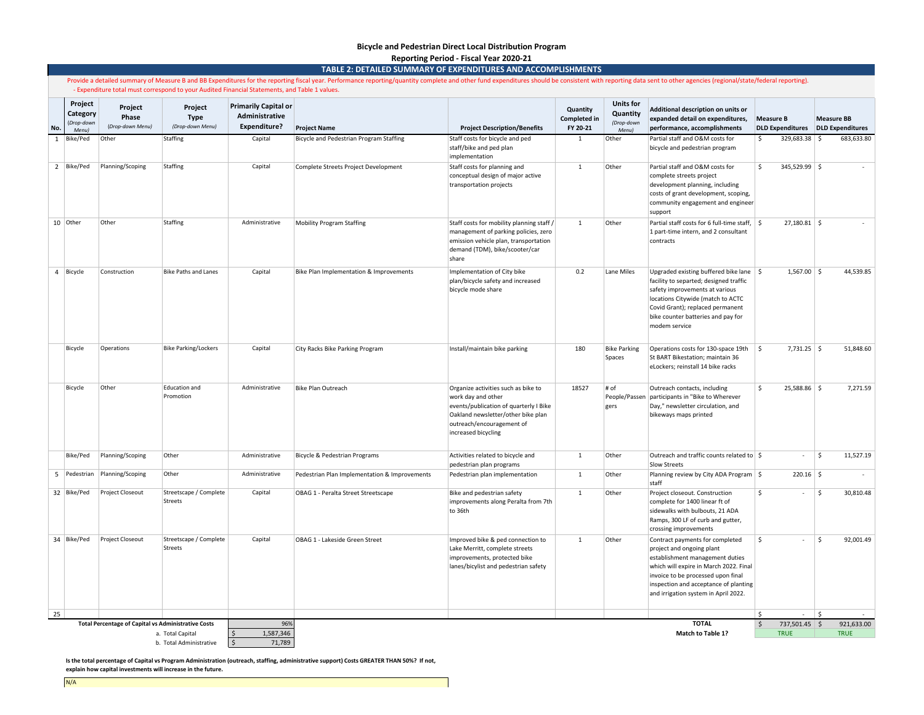#### **Bicycle and Pedestrian Direct Local Distribution Program Reporting Period - Fiscal Year 2020-21**

**TABLE 2: DETAILED SUMMARY OF EXPENDITURES AND ACCOMPLISHMENTS**

|     |                                                                                      |                                                            |                                            | - Expenditure total must correspond to your Audited Financial Statements, and Table 1 values. | Provide a detailed summary of Measure B and BB Expenditures for the reporting fiscal year. Performance reporting/quantity complete and other fund expenditures should be consistent with reporting data sent to other agencies |                                                                                                                                                                                               |                                 |                                            |                                                                                                                                                                                                                                                                  |                  |                         |                    |                           |
|-----|--------------------------------------------------------------------------------------|------------------------------------------------------------|--------------------------------------------|-----------------------------------------------------------------------------------------------|--------------------------------------------------------------------------------------------------------------------------------------------------------------------------------------------------------------------------------|-----------------------------------------------------------------------------------------------------------------------------------------------------------------------------------------------|---------------------------------|--------------------------------------------|------------------------------------------------------------------------------------------------------------------------------------------------------------------------------------------------------------------------------------------------------------------|------------------|-------------------------|--------------------|---------------------------|
|     | Project<br>Category<br>(Drop-down                                                    | Project<br>Phase<br>(Drop-down Menu)                       | Project<br><b>Type</b><br>(Drop-down Menu) | <b>Primarily Capital or</b><br>Administrative<br>Expenditure?                                 |                                                                                                                                                                                                                                |                                                                                                                                                                                               | Quantity<br><b>Completed in</b> | <b>Units for</b><br>Quantity<br>(Drop-down | Additional description on units or<br>expanded detail on expenditures,                                                                                                                                                                                           | <b>Measure B</b> |                         | <b>Measure BB</b>  |                           |
| No. | Menu                                                                                 |                                                            |                                            |                                                                                               | <b>Project Name</b>                                                                                                                                                                                                            | <b>Project Description/Benefits</b>                                                                                                                                                           | FY 20-21                        | Menu)                                      | performance, accomplishments                                                                                                                                                                                                                                     |                  | <b>DLD Expenditures</b> |                    | <b>DLD Expenditures</b>   |
| 1   | Bike/Ped                                                                             | Other                                                      | Staffing                                   | Capital                                                                                       | Bicycle and Pedestrian Program Staffing                                                                                                                                                                                        | Staff costs for bicycle and ped<br>staff/bike and ped plan<br>implementation                                                                                                                  | $\mathbf{1}$                    | Other                                      | Partial staff and O&M costs for<br>bicycle and pedestrian program                                                                                                                                                                                                | \$               | 329,683.38              | -Ś                 | 683,633.80                |
|     | 2   Bike/Ped                                                                         | Planning/Scoping                                           | Staffing                                   | Capital                                                                                       | Complete Streets Project Development                                                                                                                                                                                           | Staff costs for planning and<br>conceptual design of major active<br>transportation projects                                                                                                  | $\mathbf{1}$                    | Other                                      | Partial staff and O&M costs for<br>complete streets project<br>development planning, including<br>costs of grant development, scoping,<br>community engagement and engineer<br>support                                                                           | \$               | 345,529.99 \$           |                    |                           |
|     | 10 Other                                                                             | Other                                                      | Staffing                                   | Administrative                                                                                | <b>Mobility Program Staffing</b>                                                                                                                                                                                               | Staff costs for mobility planning staff /<br>management of parking policies, zero<br>emission vehicle plan, transportation<br>demand (TDM), bike/scooter/car<br>share                         | $\mathbf{1}$                    | Other                                      | Partial staff costs for 6 full-time staff, $\frac{1}{5}$<br>1 part-time intern, and 2 consultant<br>contracts                                                                                                                                                    |                  | $27,180.81$ \$          |                    | $\overline{\phantom{a}}$  |
|     | 4 Bicycle                                                                            | Construction                                               | <b>Bike Paths and Lanes</b>                | Capital                                                                                       | Bike Plan Implementation & Improvements                                                                                                                                                                                        | Implementation of City bike<br>plan/bicycle safety and increased<br>bicycle mode share                                                                                                        | 0.2                             | Lane Miles                                 | Upgraded existing buffered bike lane $\frac{1}{5}$<br>facility to separted; designed traffic<br>safety improvements at various<br>locations Citywide (match to ACTC<br>Covid Grant); replaced permanent<br>bike counter batteries and pay for<br>modem service   |                  | $1,567.00$ \$           |                    | 44,539.85                 |
|     | Bicycle                                                                              | Operations                                                 | <b>Bike Parking/Lockers</b>                | Capital                                                                                       | City Racks Bike Parking Program                                                                                                                                                                                                | Install/maintain bike parking                                                                                                                                                                 | 180                             | <b>Bike Parking</b><br>Spaces              | Operations costs for 130-space 19th<br>St BART Bikestation; maintain 36<br>eLockers; reinstall 14 bike racks                                                                                                                                                     | 5                | $7.731.25$ \$           |                    | 51,848.60                 |
|     | Bicycle                                                                              | Other                                                      | <b>Education and</b><br>Promotion          | Administrative                                                                                | <b>Bike Plan Outreach</b>                                                                                                                                                                                                      | Organize activities such as bike to<br>work day and other<br>events/publication of quarterly I Bike<br>Oakland newsletter/other bike plan<br>outreach/encouragement of<br>increased bicycling | 18527                           | # of<br>gers                               | Outreach contacts, including<br>People/Passen participants in "Bike to Wherever<br>Day," newsletter circulation, and<br>bikeways maps printed                                                                                                                    | \$               | $25,588.86$ \$          |                    | 7,271.59                  |
|     | Bike/Ped                                                                             | Planning/Scoping                                           | Other                                      | Administrative                                                                                | Bicycle & Pedestrian Programs                                                                                                                                                                                                  | Activities related to bicycle and<br>pedestrian plan programs                                                                                                                                 | $\mathbf{1}$                    | Other                                      | Outreach and traffic counts related to \$<br><b>Slow Streets</b>                                                                                                                                                                                                 |                  |                         | $\mathsf{\hat{S}}$ | 11.527.19                 |
| 5   | Pedestrian                                                                           | Planning/Scoping                                           | Other                                      | Administrative                                                                                | Pedestrian Plan Implementation & Improvements                                                                                                                                                                                  | Pedestrian plan implementation                                                                                                                                                                | $\mathbf{1}$                    | Other                                      | Planning review by City ADA Program   \$<br>staff                                                                                                                                                                                                                |                  | $220.16$ \$             |                    | $\sim$                    |
|     | 32 Bike/Ped                                                                          | Project Closeout                                           | Streetscape / Complete<br>Streets          | Capital                                                                                       | OBAG 1 - Peralta Street Streetscape                                                                                                                                                                                            | Bike and pedestrian safety<br>improvements along Peralta from 7th<br>to 36th                                                                                                                  | $\mathbf{1}$                    | Other                                      | Project closeout. Construction<br>complete for 1400 linear ft of<br>sidewalks with bulbouts, 21 ADA<br>Ramps, 300 LF of curb and gutter,<br>crossing improvements                                                                                                | \$               |                         | Ŝ.                 | 30,810.48                 |
|     | 34 Bike/Ped                                                                          | Project Closeout                                           | Streetscape / Complete<br>Streets          | Capital                                                                                       | OBAG 1 - Lakeside Green Street                                                                                                                                                                                                 | Improved bike & ped connection to<br>Lake Merritt, complete streets<br>improvements, protected bike<br>lanes/bicylist and pedestrian safety                                                   | $\mathbf{1}$                    | Other                                      | Contract payments for completed<br>project and ongoing plant<br>establishment management duties<br>which will expire in March 2022. Final<br>invoice to be processed upon final<br>inspection and acceptance of planting<br>and irrigation system in April 2022. | \$               | $\sim$                  | \$                 | 92,001.49                 |
| 25  |                                                                                      |                                                            |                                            |                                                                                               |                                                                                                                                                                                                                                |                                                                                                                                                                                               |                                 |                                            |                                                                                                                                                                                                                                                                  | Ŝ.               |                         | $\vert$ \$         |                           |
|     |                                                                                      | <b>Total Percentage of Capital vs Administrative Costs</b> |                                            | 96%<br>1,587,346                                                                              |                                                                                                                                                                                                                                |                                                                                                                                                                                               |                                 |                                            | <b>TOTAL</b><br>Match to Table 1?                                                                                                                                                                                                                                | <sub>S</sub>     | 737,501.45 \$           |                    | 921,633.00<br><b>TRUE</b> |
|     | a. Total Capital<br><b>TRUE</b><br>$\mathsf{S}$<br>71,789<br>b. Total Administrative |                                                            |                                            |                                                                                               |                                                                                                                                                                                                                                |                                                                                                                                                                                               |                                 |                                            |                                                                                                                                                                                                                                                                  |                  |                         |                    |                           |

**Is the total percentage of Capital vs Program Administration (outreach, staffing, administrative support) Costs GREATER THAN 50%? If not, explain how capital investments will increase in the future.**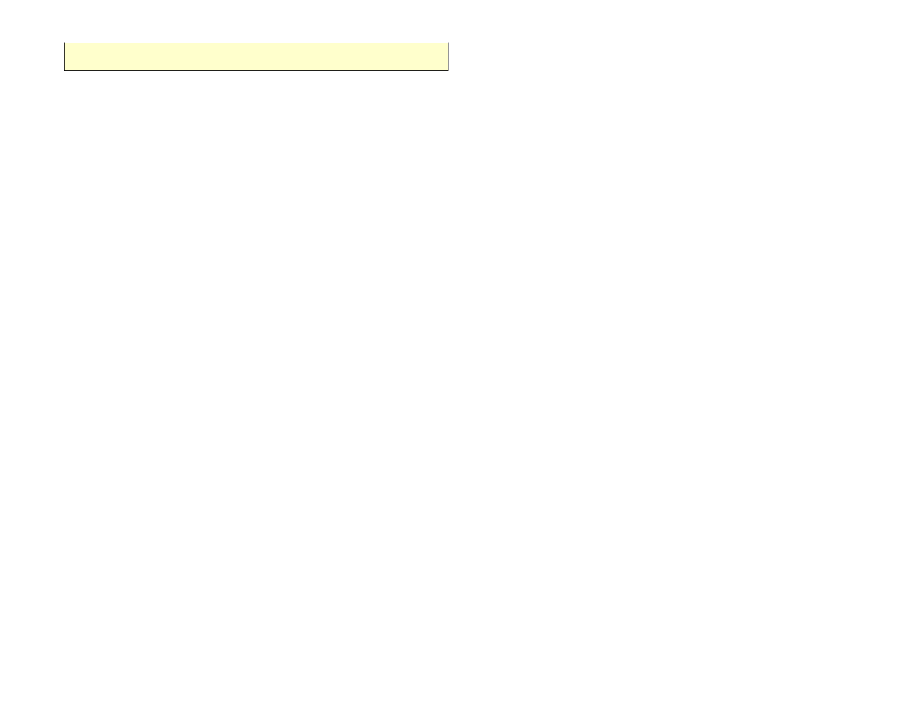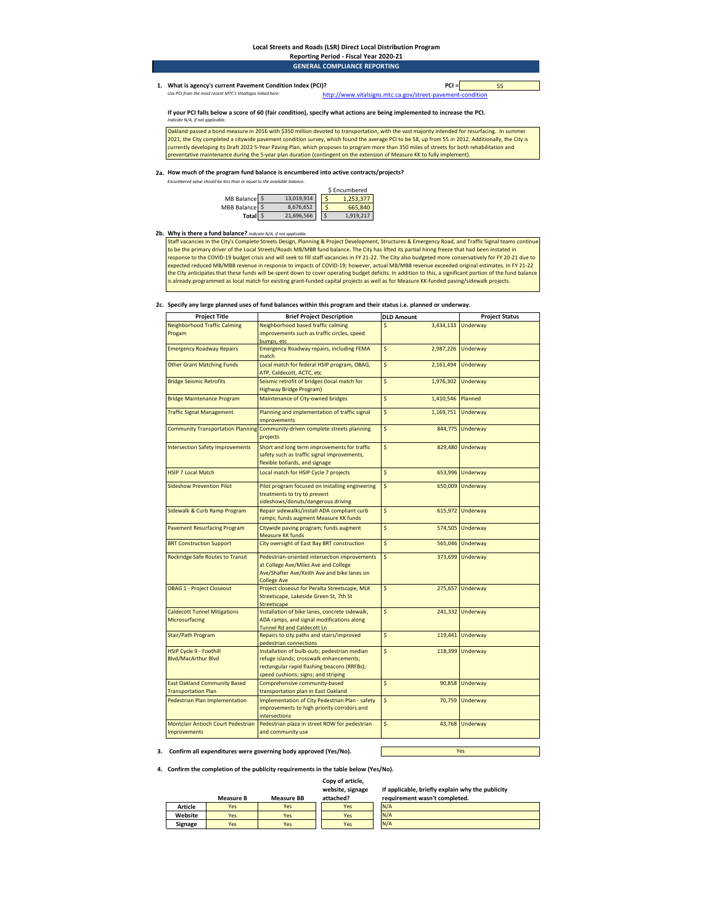### **Local Streets and Roads (LSR) Direct Local Distribution Program**

| Reporting Period - Fiscal Year 2020-21 |
|----------------------------------------|
| <b>GENERAL COMPLIANCE REPORTING</b>    |

**1. PCI =** 55 **What is agency's current Pavement Condition Index (PCI)?**  *Use PCI from the most recent MTC's VitalSigns linked here:* [http://www.vitalsi](http://www.vitalsigns.mtc.ca.gov/street-pavement-condition)gns.mtc.ca.gov/street-pavement-condition

**If your PCI falls below a score of 60 (fair condition), specify what actions are being implemented to increase the PCI.**  *Indicate N/A, if not applicable.* 

Oakland passed a bond measure in 2016 with \$350 million devoted to transportation, with the vast majority intended for resurfacing. In summer 2021, the City completed a citywide pavement condition survey, which found the average PCI to be 58, up from 55 in 2012. Additionally, the City is currently developing its Draft 2022 5-Year Paving Plan, which proposes to program more than 350 miles of streets for both rehabilitation and preventative maintenance during the 5-year plan duration (contingent on the extension of Measure KK to fully implement).

**2a. How much of the program fund balance is encumbered into active contracts/projects?** 

*Encumbered value should be less than or equal to the available balance.* 



#### 2b. Why is there a fund balance? *Indicate N/A, if not ap*

Staff vacancies in the City's Complete Streets Design, Planning & Project Development, Structures & Emergency Road, and Traffic Signal teams continue<br>to be the primary driver of the Local Streets/Roads MB/MBB fund balance. response to the COVID-19 budget crisis and will seek to fill staff vacancies in FY 21-22. The City also budgeted more conservatively for FY 20-21 due to<br>expected reduced MB/MBB revenue in response to impacts of COVID-19; h the City anticipates that these funds will be spent down to cover operating budget deficits. In addition to this, a significant portion of the fund balance is already programmed as local match for existing grant-funded capital projects as well as for Measure KK-funded paving/sidewalk projects.

#### **2c. Specify any large planned uses of fund balances within this program and their status i.e. planned or underway.**

| <b>Project Title</b>                                              | <b>Brief Project Description</b>                                                                                                                                              | <b>DLD Amount</b>       | <b>Project Status</b> |
|-------------------------------------------------------------------|-------------------------------------------------------------------------------------------------------------------------------------------------------------------------------|-------------------------|-----------------------|
| <b>Neighborhood Traffic Calming</b><br>Progam                     | Neighborhood based traffic calming<br>improvements such as traffic circles, speed<br>bumps, etc                                                                               | \$<br>3,434,133         | Underway              |
| <b>Emergency Roadway Repairs</b>                                  | <b>Emergency Roadway repairs, including FEMA</b><br>match                                                                                                                     | \$<br>2,987,226         | Underway              |
| <b>Other Grant Matching Funds</b>                                 | Local match for federal HSIP program, OBAG,<br>ATP, Caldecott, ACTC, etc                                                                                                      | \$                      | 2,161,494 Underway    |
| <b>Bridge Seismic Retrofits</b>                                   | Seismic retrofit of bridges (local match for<br>Highway Bridge Program)                                                                                                       | \$                      | 1,976,302 Underway    |
| <b>Bridge Maintenance Program</b>                                 | Maintenance of City-owned bridges                                                                                                                                             | \$<br>1,410,546 Planned |                       |
| <b>Traffic Signal Management</b>                                  | Planning and implementation of traffic signal<br><i>improvements</i>                                                                                                          | \$                      | 1,169,751 Underway    |
| <b>Community Transportation Planning</b>                          | Community-driven complete streets planning<br>projects                                                                                                                        | \$                      | 844,775 Underway      |
| <b>Intersection Safety Improvements</b>                           | Short and long term improvements for traffic<br>safety such as traffic signal improvements,<br>flexible bollards, and signage                                                 | \$                      | 829,480 Underway      |
| <b>HSIP 7 Local Match</b>                                         | Local match for HSIP Cycle 7 projects                                                                                                                                         | \$                      | 653,996 Underway      |
| <b>Sideshow Prevention Pilot</b>                                  | Pilot program focused on installing engineering<br>treatments to try to prevent<br>sideshows/donuts/dangerous driving                                                         | \$<br>650,009           | Underway              |
| Sidewalk & Curb Ramp Program                                      | Repair sidewalks/install ADA compliant curb<br>ramps; funds augment Measure KK funds                                                                                          | \$                      | 615,972 Underway      |
| <b>Pavement Resurfacing Program</b>                               | Citywide paving program; funds augment<br><b>Measure KK funds</b>                                                                                                             | \$                      | 574,505 Underway      |
| <b>BRT Construction Support</b>                                   | City oversight of East Bay BRT construction                                                                                                                                   | $\mathsf S$<br>565,046  | Underway              |
| <b>Rockridge Safe Routes to Transit</b>                           | Pedestrian-oriented intersection improvements<br>at College Ave/Miles Ave and College<br>Ave/Shafter Ave/Keith Ave and bike lanes on<br><b>College Ave</b>                    | \$                      | 373,699 Underway      |
| <b>OBAG 1 - Project Closeout</b>                                  | Project closeout for Peralta Streetscape, MLK<br>Streetscape, Lakeside Green St, 7th St<br>Streetscape                                                                        | \$                      | 275,657 Underway      |
| <b>Caldecott Tunnel Mitigations</b><br>Microsurfacing             | Installation of bike lanes, concrete sidewalk,<br>ADA ramps, and signal modifications along<br><b>Tunnel Rd and Caldecott Ln</b>                                              | \$                      | 241,332 Underway      |
| <b>Stair/Path Program</b>                                         | Repairs to city paths and stairs/improved<br>pedestrian connections                                                                                                           | \$                      | 119,441 Underway      |
| <b>HSIP Cycle 9 - Foothill</b><br><b>Blvd/MacArthur Blvd</b>      | Installation of bulb-outs; pedestrian median<br>refuge islands; crosswalk enhancements;<br>rectangular rapid flashing beacons (RRFBs);<br>speed cushions; signs; and striping | \$                      | 118,399 Underway      |
| <b>East Oakland Community Based</b><br><b>Transportation Plan</b> | Comprehensive community-based<br>transportation plan in East Oakland                                                                                                          | \$                      | 90,858 Underway       |
| Pedestrian Plan Implementation                                    | Implementation of City Pedestrian Plan - safety<br>improvements to high priority corridors and<br>intersections                                                               | \$                      | 70,759 Underway       |
| <b>Montclair Antioch Court Pedestrian</b><br>Improvements         | Pedestrian plaza in street ROW for pedestrian<br>and community use                                                                                                            | \$                      | 43,768 Underway       |

**3. Confirm all expenditures were governing body approved (Yes/No).**

#### **4. Confirm the completion of the publicity requirements in the table below (Yes/No).**

#### **Copy of article, website, signage**

**If applicable, briefly explain why the publicity** 

Yes

|         | <b>Measure B</b> | <b>Measure BB</b> | attached? | .<br>requirement wasn't completed. |
|---------|------------------|-------------------|-----------|------------------------------------|
| Article | Yes              | Yes               | Yes       | N/A                                |
| Website | Yes              | Yes               | Yes       | N/A                                |
| Signage | Yes              | Yes               | Yes       | N/A                                |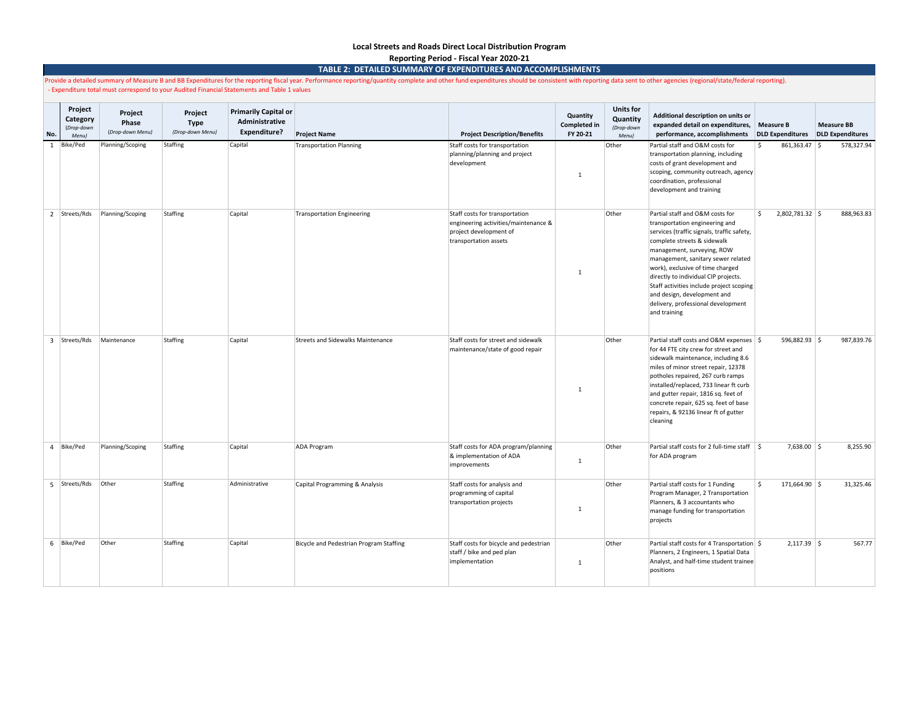### **Local Streets and Roads Direct Local Distribution Program**

**Reporting Period - Fiscal Year 2020-21**

**TABLE 2: DETAILED SUMMARY OF EXPENDITURES AND ACCOMPLISHMENTS**

Provide a detailed summary of Measure B and BB Expenditures for the reporting fiscal year. Performance reporting/quantity complete and other fund expenditures should be consistent with reporting data sent to other agencies

 **No. Project Category**  (*Drop-down Menu)* **Project Phase**  (*Drop-down Menu)*  **Project Type**  *(Drop-down Menu)*  **Primarily Capital or Administrative Expenditure? Project Name Project Description/Benefits Quantity Completed in FY 20-21 Units for Quantity** *(Drop-down Menu)*  **Additional description on units or expanded detail on expenditures, performance, accomplishments DLD Expenditures DLD Expenditures Measure B Measure BB** 1 Bike/Ped Planning/Scoping Staffing Capital Transportation Planning Staff costs for transportation planning/planning and project development 1 Other Partial staff and O&M costs for transportation planning, including costs of grant development and scoping, community outreach, agency coordination, professional development and training \$ 861,363.47 \$ 578,327.94 2 Streets/Rds Planning/Scoping Staffing Capital Capital Transportation Engineering Staff costs for transportation engineering activities/maintenance & project development of transportation assets 1 Other Partial staff and O&M costs for transportation engineering and services (traffic signals, traffic safety, complete streets & sidewalk management, surveying, ROW management, sanitary sewer related work), exclusive of time charged directly to individual CIP projects. Staff activities include project scoping and design, development and delivery, professional development and training  $\frac{2,802,781.32}{5}$  888,963.83 3 Streets/Rds Maintenance Staffing Capital Streets and Sidewalks Maintenance Staff costs for street and sidewalk maintenance/state of good repair 1 Other Partial staff costs and O&M expenses \$ for 44 FTE city crew for street and sidewalk maintenance, including 8.6 miles of minor street repair, 12378 potholes repaired, 267 curb ramps installed/replaced, 733 linear ft curb and gutter repair, 1816 sq. feet of concrete repair, 625 sq. feet of base repairs, & 92136 linear ft of gutter cleaning \$ 596,882.93 \$ 987,839.76 4 Bike/Ped Planning/Scoping Staffing Capital ADA Program ADA Program Staff costs for ADA program/planning & implementation of ADA improvements and the state of the state of the state of the state of the state of the state of the state of the state of the state of the state of the state of the state of the state of the state of the state of the state Other Partial staff costs for 2 full-time staff S for ADA program \$ 7,638.00 \$ 8,255.90 5 Streets/Rds Other Staffing Staffing Administrative Capital Programming & Analysis Staff costs for analysis and programming of capital transportation projects 1 Other Partial staff costs for 1 Funding Program Manager, 2 Transportation Planners, & 3 accountants who manage funding for transportation projects  $\frac{171,664.90}{5}$  31,325.46 6 Bike/Ped Other Staffing Capital Bicycle and Pedestrian Program Staffing Staff costs for bicycle and pedestrian staff / bike and ped plan implementation and the state of the state of the state of the state of the state of the state of the state of the state of the state of the state of the state of the state of the state of the state of the state of the stat Other Partial staff costs for 4 Transportation \$ Planners, 2 Engineers, 1 Spatial Data Analyst, and half-time student trainee positions \$ 2,117.39 \$ 567.77 - Expenditure total must correspond to your Audited Financial Statements and Table 1 values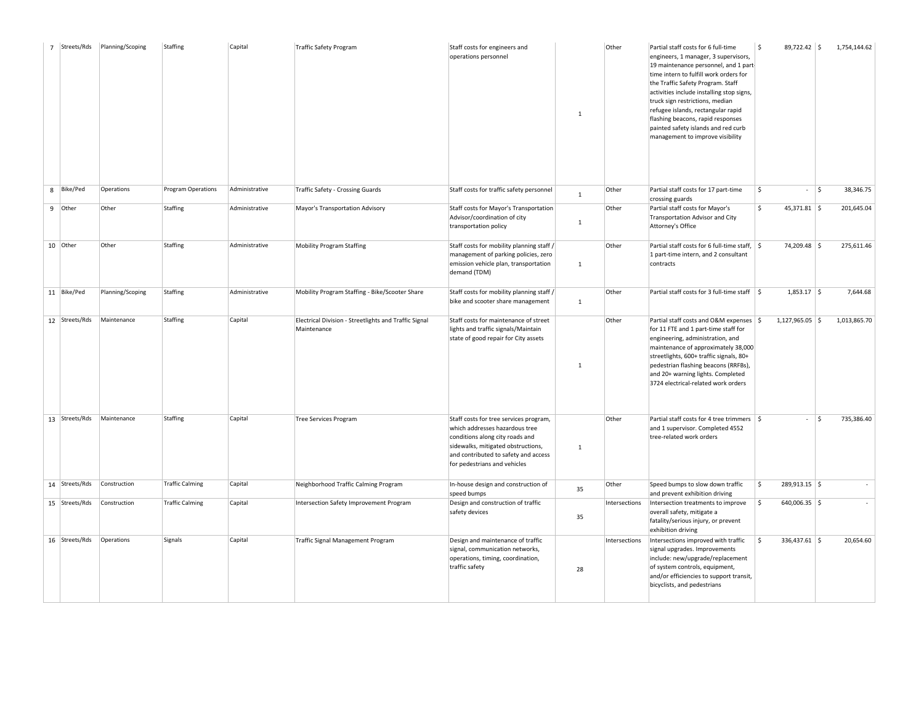| Streets/Rds    | Planning/Scoping | Staffing               | Capital        | <b>Traffic Safety Program</b>                                        | Staff costs for engineers and<br>operations personnel                                                                                                                                                                     | $\mathbf{1}$   | Other         | Partial staff costs for 6 full-time<br>engineers, 1 manager, 3 supervisors,<br>19 maintenance personnel, and 1 part-<br>time intern to fulfill work orders for<br>the Traffic Safety Program. Staff<br>activities include installing stop signs,<br>truck sign restrictions, median<br>refugee islands, rectangular rapid<br>flashing beacons, rapid responses<br>painted safety islands and red curb<br>management to improve visibility | l\$<br>89,722.42 \$     |    | 1,754,144.62 |
|----------------|------------------|------------------------|----------------|----------------------------------------------------------------------|---------------------------------------------------------------------------------------------------------------------------------------------------------------------------------------------------------------------------|----------------|---------------|-------------------------------------------------------------------------------------------------------------------------------------------------------------------------------------------------------------------------------------------------------------------------------------------------------------------------------------------------------------------------------------------------------------------------------------------|-------------------------|----|--------------|
| 8   Bike/Ped   | Operations       | Program Operations     | Administrative | <b>Traffic Safety - Crossing Guards</b>                              | Staff costs for traffic safety personnel                                                                                                                                                                                  | $\mathbf{1}$   | Other         | Partial staff costs for 17 part-time<br>crossing guards                                                                                                                                                                                                                                                                                                                                                                                   | S.<br>$\sim$            | ١s | 38,346.75    |
| 9 Other        | Other            | Staffing               | Administrative | Mayor's Transportation Advisory                                      | Staff costs for Mayor's Transportation<br>Advisor/coordination of city<br>transportation policy                                                                                                                           | $\mathbf{1}$   | Other         | Partial staff costs for Mayor's<br>Transportation Advisor and City<br>Attorney's Office                                                                                                                                                                                                                                                                                                                                                   | \$<br>$45,371.81$ \$    |    | 201,645.04   |
| 10 Other       | Other            | Staffing               | Administrative | <b>Mobility Program Staffing</b>                                     | Staff costs for mobility planning staff /<br>management of parking policies, zero<br>emission vehicle plan, transportation<br>demand (TDM)                                                                                | $\overline{1}$ | Other         | Partial staff costs for 6 full-time staff, $\frac{1}{2}$<br>1 part-time intern, and 2 consultant<br>contracts                                                                                                                                                                                                                                                                                                                             | 74,209.48 \$            |    | 275,611.46   |
| 11   Bike/Ped  | Planning/Scoping | Staffing               | Administrative | Mobility Program Staffing - Bike/Scooter Share                       | Staff costs for mobility planning staff /<br>bike and scooter share management                                                                                                                                            | $\mathbf{1}$   | Other         | Partial staff costs for 3 full-time staff $\frac{1}{5}$                                                                                                                                                                                                                                                                                                                                                                                   | $1,853.17$ \$           |    | 7,644.68     |
| 12 Streets/Rds | Maintenance      | Staffing               | Capital        | Electrical Division - Streetlights and Traffic Signal<br>Maintenance | Staff costs for maintenance of street<br>lights and traffic signals/Maintain<br>state of good repair for City assets                                                                                                      | $\mathbf{1}$   | Other         | Partial staff costs and O&M expenses \ \$<br>for 11 FTE and 1 part-time staff for<br>engineering, administration, and<br>maintenance of approximately 38,000<br>streetlights, 600+ traffic signals, 80+<br>pedestrian flashing beacons (RRFBs),<br>and 20+ warning lights. Completed<br>3724 electrical-related work orders                                                                                                               | 1,127,965.05 \$         |    | 1,013,865.70 |
| 13 Streets/Rds | Maintenance      | Staffing               | Capital        | Tree Services Program                                                | Staff costs for tree services program,<br>which addresses hazardous tree<br>conditions along city roads and<br>sidewalks, mitigated obstructions,<br>and contributed to safety and access<br>for pedestrians and vehicles | $\mathbf{1}$   | Other         | Partial staff costs for 4 tree trimmers   \$<br>and 1 supervisor. Completed 4552<br>tree-related work orders                                                                                                                                                                                                                                                                                                                              | $\sim$                  | İś | 735,386.40   |
| 14 Streets/Rds | Construction     | <b>Traffic Calming</b> | Capital        | Neighborhood Traffic Calming Program                                 | In-house design and construction of<br>speed bumps                                                                                                                                                                        | 35             | Other         | Speed bumps to slow down traffic<br>and prevent exhibition driving                                                                                                                                                                                                                                                                                                                                                                        | ۱\$.<br>$289,913.15$ \$ |    | $\sim$       |
| 15 Streets/Rds | Construction     | <b>Traffic Calming</b> | Capital        | Intersection Safety Improvement Program                              | Design and construction of traffic<br>safety devices                                                                                                                                                                      | 35             | Intersections | Intersection treatments to improve<br>overall safety, mitigate a<br>fatality/serious injury, or prevent<br>exhibition driving                                                                                                                                                                                                                                                                                                             | ۱\$<br>640,006.35 \$    |    |              |
| 16 Streets/Rds | Operations       | Signals                | Capital        | <b>Traffic Signal Management Program</b>                             | Design and maintenance of traffic<br>signal, communication networks,<br>operations, timing, coordination,<br>traffic safety                                                                                               | 28             | Intersections | Intersections improved with traffic<br>signal upgrades. Improvements<br>include: new/upgrade/replacement<br>of system controls, equipment,<br>and/or efficiencies to support transit,<br>bicyclists, and pedestrians                                                                                                                                                                                                                      | 336,437.61 \$<br>۱\$    |    | 20,654.60    |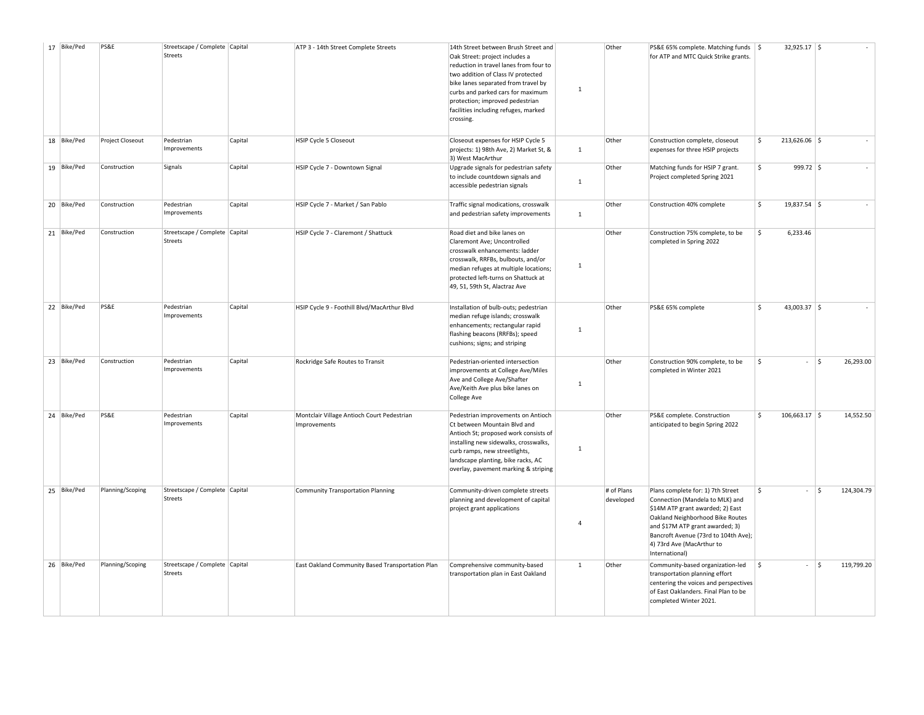| 17 Bike/Ped   | <b>PS&amp;E</b>  | Streetscape / Complete Capital<br><b>Streets</b> |         | ATP 3 - 14th Street Complete Streets                       | 14th Street between Brush Street and<br>Oak Street: project includes a<br>reduction in travel lanes from four to<br>two addition of Class IV protected<br>bike lanes separated from travel by<br>curbs and parked cars for maximum<br>protection; improved pedestrian<br>facilities including refuges, marked<br>crossing. | $\mathbf{1}$   | Other                   | PS&E 65% complete. Matching funds   \$<br>for ATP and MTC Quick Strike grants.                                                                                                                                                                                         |            | $32,925.17$ \$  |            |            |
|---------------|------------------|--------------------------------------------------|---------|------------------------------------------------------------|----------------------------------------------------------------------------------------------------------------------------------------------------------------------------------------------------------------------------------------------------------------------------------------------------------------------------|----------------|-------------------------|------------------------------------------------------------------------------------------------------------------------------------------------------------------------------------------------------------------------------------------------------------------------|------------|-----------------|------------|------------|
| 18   Bike/Ped | Project Closeout | Pedestrian<br>Improvements                       | Capital | HSIP Cycle 5 Closeout                                      | Closeout expenses for HSIP Cycle 5<br>projects: 1) 98th Ave, 2) Market St, &<br>3) West MacArthur                                                                                                                                                                                                                          | $\mathbf{1}$   | Other                   | Construction complete, closeout<br>expenses for three HSIP projects                                                                                                                                                                                                    | S.         | $213,626.06$ \$ |            |            |
| 19 Bike/Ped   | Construction     | Signals                                          | Capital | HSIP Cycle 7 - Downtown Signal                             | Upgrade signals for pedestrian safety<br>to include countdown signals and<br>accessible pedestrian signals                                                                                                                                                                                                                 | $\mathbf{1}$   | Other                   | Matching funds for HSIP 7 grant.<br>Project completed Spring 2021                                                                                                                                                                                                      | $\ddot{s}$ | $999.72$ \$     |            |            |
| 20 Bike/Ped   | Construction     | Pedestrian<br>Improvements                       | Capital | HSIP Cycle 7 - Market / San Pablo                          | Traffic signal modications, crosswalk<br>and pedestrian safety improvements                                                                                                                                                                                                                                                | $\mathbf{1}$   | Other                   | Construction 40% complete                                                                                                                                                                                                                                              | S.         | $19,837.54$ \$  |            |            |
| 21 Bike/Ped   | Construction     | Streetscape / Complete Capital<br><b>Streets</b> |         | HSIP Cycle 7 - Claremont / Shattuck                        | Road diet and bike lanes on<br>Claremont Ave; Uncontrolled<br>crosswalk enhancements: ladder<br>crosswalk, RRFBs, bulbouts, and/or<br>median refuges at multiple locations;<br>protected left-turns on Shattuck at<br>49, 51, 59th St, Alactraz Ave                                                                        | $\mathbf{1}$   | Other                   | Construction 75% complete, to be<br>completed in Spring 2022                                                                                                                                                                                                           | S.         | 6,233.46        |            |            |
| 22 Bike/Ped   | PS&E             | Pedestrian<br>Improvements                       | Capital | HSIP Cycle 9 - Foothill Blvd/MacArthur Blvd                | Installation of bulb-outs; pedestrian<br>median refuge islands; crosswalk<br>enhancements; rectangular rapid<br>flashing beacons (RRFBs); speed<br>cushions; signs; and striping                                                                                                                                           | $\overline{1}$ | Other                   | PS&E 65% complete                                                                                                                                                                                                                                                      | Ŝ.         | 43,003.37 \$    |            |            |
| 23 Bike/Ped   | Construction     | Pedestrian<br>Improvements                       | Capital | Rockridge Safe Routes to Transit                           | Pedestrian-oriented intersection<br>improvements at College Ave/Miles<br>Ave and College Ave/Shafter<br>Ave/Keith Ave plus bike lanes on<br>College Ave                                                                                                                                                                    | <sup>1</sup>   | Other                   | Construction 90% complete, to be<br>completed in Winter 2021                                                                                                                                                                                                           | l \$       | $\sim$          | $\vert$ \$ | 26,293.00  |
| 24 Bike/Ped   | PS&E             | Pedestrian<br>Improvements                       | Capital | Montclair Village Antioch Court Pedestrian<br>Improvements | Pedestrian improvements on Antioch<br>Ct between Mountain Blvd and<br>Antioch St; proposed work consists of<br>installing new sidewalks, crosswalks,<br>curb ramps, new streetlights,<br>landscape planting, bike racks, AC<br>overlay, pavement marking & striping                                                        | $\mathbf{1}$   | Other                   | PS&E complete. Construction<br>anticipated to begin Spring 2022                                                                                                                                                                                                        | \$         | $106,663.17$ \$ |            | 14,552.50  |
| 25 Bike/Ped   | Planning/Scoping | Streetscape / Complete Capital<br>Streets        |         | <b>Community Transportation Planning</b>                   | Community-driven complete streets<br>planning and development of capital<br>project grant applications                                                                                                                                                                                                                     | $\overline{a}$ | # of Plans<br>developed | Plans complete for: 1) 7th Street<br>Connection (Mandela to MLK) and<br>\$14M ATP grant awarded; 2) East<br>Oakland Neighborhood Bike Routes<br>and \$17M ATP grant awarded; 3)<br>Bancroft Avenue (73rd to 104th Ave);<br>4) 73rd Ave (MacArthur to<br>International) | Ŝ.         | $\sim$          | $\vert$ \$ | 124,304.79 |
| 26 Bike/Ped   | Planning/Scoping | Streetscape / Complete Capital<br>Streets        |         | East Oakland Community Based Transportation Plan           | Comprehensive community-based<br>transportation plan in East Oakland                                                                                                                                                                                                                                                       | $\mathbf{1}$   | Other                   | Community-based organization-led<br>transportation planning effort<br>centering the voices and perspectives<br>of East Oaklanders. Final Plan to be<br>completed Winter 2021.                                                                                          | $\vert$ \$ | $\sim$          | $\vert$ \$ | 119,799.20 |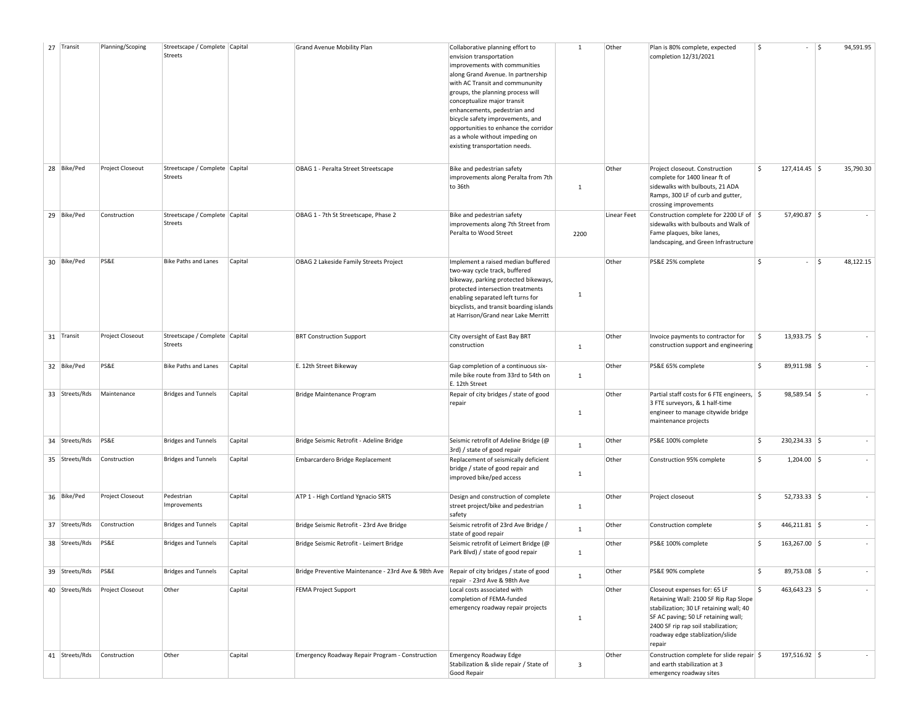| 27 Transit       | Planning/Scoping | Streetscape / Complete Capital<br>Streets |         | <b>Grand Avenue Mobility Plan</b>                                                            | Collaborative planning effort to<br>envision transportation<br>improvements with communities<br>along Grand Avenue. In partnership<br>with AC Transit and commununity<br>groups, the planning process will<br>conceptualize major transit<br>enhancements, pedestrian and<br>bicycle safety improvements, and<br>opportunities to enhance the corridor<br>as a whole without impeding on<br>existing transportation needs. | $\mathbf{1}$                                                                                                                                                                                                                   | Other | Plan is 80% complete, expected<br>completion 12/31/2021                                                                                                                                                                                     | \$                      | l \$      | 94,591.95                |
|------------------|------------------|-------------------------------------------|---------|----------------------------------------------------------------------------------------------|----------------------------------------------------------------------------------------------------------------------------------------------------------------------------------------------------------------------------------------------------------------------------------------------------------------------------------------------------------------------------------------------------------------------------|--------------------------------------------------------------------------------------------------------------------------------------------------------------------------------------------------------------------------------|-------|---------------------------------------------------------------------------------------------------------------------------------------------------------------------------------------------------------------------------------------------|-------------------------|-----------|--------------------------|
| 28   Bike/Ped    | Project Closeout | Streetscape / Complete Capital<br>Streets |         | OBAG 1 - Peralta Street Streetscape                                                          | improvements along Peralta from 7th<br>to 36th                                                                                                                                                                                                                                                                                                                                                                             | Bike and pedestrian safety<br>Other<br>Project closeout. Construction<br>Ŝ.<br>complete for 1400 linear ft of<br>sidewalks with bulbouts, 21 ADA<br>$\mathbf{1}$<br>Ramps, 300 LF of curb and gutter,<br>crossing improvements |       | $127,414.45$ \$                                                                                                                                                                                                                             |                         | 35,790.30 |                          |
| 29 Bike/Ped      | Construction     | Streetscape / Complete Capital<br>Streets |         | OBAG 1 - 7th St Streetscape, Phase 2                                                         | Bike and pedestrian safety<br>improvements along 7th Street from<br>Peralta to Wood Street                                                                                                                                                                                                                                                                                                                                 | Linear Feet<br>2200                                                                                                                                                                                                            |       | Construction complete for 2200 LF of $\frac{1}{2}$<br>sidewalks with bulbouts and Walk of<br>Fame plaques, bike lanes,<br>landscaping, and Green Infrastructure                                                                             | 57,490.87 \$            |           |                          |
| 30   Bike/Ped    | PS&E             | <b>Bike Paths and Lanes</b>               | Capital | OBAG 2 Lakeside Family Streets Project                                                       | Implement a raised median buffered<br>two-way cycle track, buffered<br>bikeway, parking protected bikeways,<br>protected intersection treatments<br>enabling separated left turns for<br>bicyclists, and transit boarding islands<br>at Harrison/Grand near Lake Merritt                                                                                                                                                   | Other<br>PS&E 25% complete<br>$\mathbf{1}$                                                                                                                                                                                     |       | \$<br>$\sim$                                                                                                                                                                                                                                | $\vert$ \$              | 48,122.15 |                          |
| 31 Transit       | Project Closeout | Streetscape / Complete Capital<br>Streets |         | <b>BRT Construction Support</b>                                                              | City oversight of East Bay BRT<br>construction                                                                                                                                                                                                                                                                                                                                                                             | Other<br>$\mathbf{1}$                                                                                                                                                                                                          |       | Invoice payments to contractor for<br>construction support and engineering                                                                                                                                                                  | $13,933.75$ \$<br>۱\$.  |           |                          |
| 32 Bike/Ped      | PS&E             | <b>Bike Paths and Lanes</b>               | Capital | E. 12th Street Bikeway                                                                       | Gap completion of a continuous six-<br>mile bike route from 33rd to 54th on<br>E. 12th Street                                                                                                                                                                                                                                                                                                                              | Other<br>$\overline{1}$                                                                                                                                                                                                        |       | PS&E 65% complete                                                                                                                                                                                                                           | ۱\$<br>89,911.98 \$     |           |                          |
| 33 Streets/Rds   | Maintenance      | <b>Bridges and Tunnels</b>                | Capital | Bridge Maintenance Program                                                                   | Repair of city bridges / state of good<br>repair                                                                                                                                                                                                                                                                                                                                                                           | Partial staff costs for 6 FTE engineers,   \$<br>Other<br>3 FTE surveyors, & 1 half-time<br>$\mathbf 1$<br>engineer to manage citywide bridge<br>maintenance projects                                                          |       | 98,589.54 \$                                                                                                                                                                                                                                |                         |           |                          |
| 34 Streets/Rds   | PS&E             | <b>Bridges and Tunnels</b>                | Capital | Bridge Seismic Retrofit - Adeline Bridge                                                     | Seismic retrofit of Adeline Bridge (@<br>3rd) / state of good repair                                                                                                                                                                                                                                                                                                                                                       | $\mathbf{1}$                                                                                                                                                                                                                   | Other | PS&E 100% complete                                                                                                                                                                                                                          | ۱\$.<br>$230,234.33$ \$ |           |                          |
| 35   Streets/Rds | Construction     | <b>Bridges and Tunnels</b>                | Capital | Embarcardero Bridge Replacement                                                              | Replacement of seismically deficient<br>bridge / state of good repair and<br>improved bike/ped access                                                                                                                                                                                                                                                                                                                      | $\mathbf{1}$                                                                                                                                                                                                                   | Other | Construction 95% complete                                                                                                                                                                                                                   | \$<br>$1,204.00$ \$     |           |                          |
| 36   Bike/Ped    | Project Closeout | Pedestrian<br>Improvements                | Capital | ATP 1 - High Cortland Ygnacio SRTS                                                           | Design and construction of complete<br>street project/bike and pedestrian<br>safety                                                                                                                                                                                                                                                                                                                                        | $\mathbf{1}$                                                                                                                                                                                                                   | Other | Project closeout                                                                                                                                                                                                                            | \$<br>$52,733.33$ \$    |           |                          |
| 37 Streets/Rds   | Construction     | <b>Bridges and Tunnels</b>                | Capital | Bridge Seismic Retrofit - 23rd Ave Bridge                                                    | Seismic retrofit of 23rd Ave Bridge /<br>state of good repair                                                                                                                                                                                                                                                                                                                                                              | $\mathbf{1}$                                                                                                                                                                                                                   | Other | Construction complete                                                                                                                                                                                                                       | ۱\$.<br>$446,211.81$ \$ |           | $\sim$                   |
| 38 Streets/Rds   | PS&E             | <b>Bridges and Tunnels</b>                | Capital | Bridge Seismic Retrofit - Leimert Bridge                                                     | Seismic retrofit of Leimert Bridge (@<br>Park Blvd) / state of good repair                                                                                                                                                                                                                                                                                                                                                 | $\mathbf{1}$                                                                                                                                                                                                                   | Other | PS&E 100% complete                                                                                                                                                                                                                          | \$<br>163,267.00 \$     |           |                          |
| 39 Streets/Rds   | PS&E             | <b>Bridges and Tunnels</b>                | Capital | Bridge Preventive Maintenance - 23rd Ave & 98th Ave   Repair of city bridges / state of good | repair - 23rd Ave & 98th Ave                                                                                                                                                                                                                                                                                                                                                                                               | $\mathbf{1}$                                                                                                                                                                                                                   | Other | PS&E 90% complete                                                                                                                                                                                                                           | 89,753.08 \$<br>۱\$.    |           |                          |
| 40 Streets/Rds   | Project Closeout | Other                                     | Capital | <b>FEMA Project Support</b>                                                                  | Local costs associated with<br>completion of FEMA-funded<br>emergency roadway repair projects                                                                                                                                                                                                                                                                                                                              | $\mathbf{1}$                                                                                                                                                                                                                   | Other | Closeout expenses for: 65 LF<br>Retaining Wall: 2100 SF Rip Rap Slope<br>stabilization; 30 LF retaining wall; 40<br>SF AC paving; 50 LF retaining wall;<br>2400 SF rip rap soil stabilization;<br>roadway edge stablization/slide<br>repair | \$<br>$463,643.23$ \$   |           | $\overline{\phantom{a}}$ |
| 41 Streets/Rds   | Construction     | Other                                     | Capital | Emergency Roadway Repair Program - Construction                                              | <b>Emergency Roadway Edge</b><br>Stabilization & slide repair / State of<br>Good Repair                                                                                                                                                                                                                                                                                                                                    | 3                                                                                                                                                                                                                              | Other | Construction complete for slide repair \$<br>and earth stabilization at 3<br>emergency roadway sites                                                                                                                                        | 197,516.92 \$           |           |                          |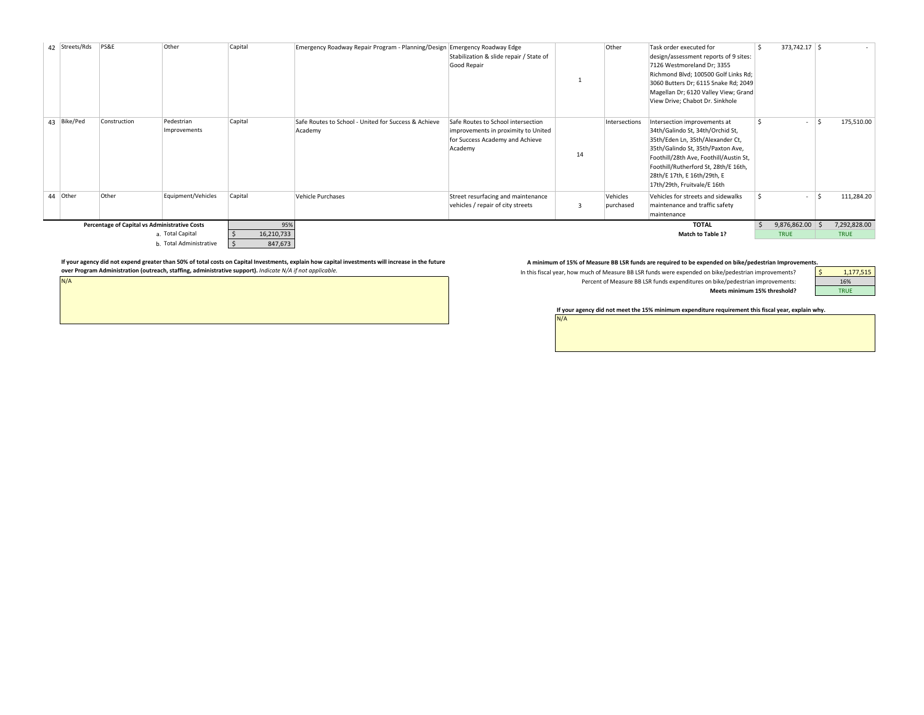|                                               | 42 Streets/Rds | PS&E         | Other                      | Capital               | Emergency Roadway Repair Program - Planning/Design Emergency Roadway Edge | Stabilization & slide repair / State of<br>Good Repair                                                                  |                | Other                 | Task order executed for<br>design/assessment reports of 9 sites:<br>7126 Westmoreland Dr; 3355<br>Richmond Blvd; 100500 Golf Links Rd;<br>3060 Butters Dr; 6115 Snake Rd; 2049<br>Magellan Dr; 6120 Valley View; Grand<br>View Drive; Chabot Dr. Sinkhole                                 | l \$ | $373,742.17$ \$ | $\sim$       |
|-----------------------------------------------|----------------|--------------|----------------------------|-----------------------|---------------------------------------------------------------------------|-------------------------------------------------------------------------------------------------------------------------|----------------|-----------------------|-------------------------------------------------------------------------------------------------------------------------------------------------------------------------------------------------------------------------------------------------------------------------------------------|------|-----------------|--------------|
|                                               | 43 Bike/Ped    | Construction | Pedestrian<br>Improvements | Capital               | Safe Routes to School - United for Success & Achieve<br>Academy           | Safe Routes to School intersection<br>improvements in proximity to United<br>for Success Academy and Achieve<br>Academy | 14             | Intersections         | Intersection improvements at<br>34th/Galindo St, 34th/Orchid St,<br>35th/Eden Ln, 35th/Alexander Ct,<br>35th/Galindo St, 35th/Paxton Ave,<br>Foothill/28th Ave, Foothill/Austin St,<br>Foothill/Rutherford St, 28th/E 16th,<br>28th/E 17th, E 16th/29th, E<br>17th/29th, Fruitvale/E 16th |      | ٠               | 175,510.00   |
|                                               | 44 Other       | Other        | Equipment/Vehicles         | Capital               | <b>Vehicle Purchases</b>                                                  | Street resurfacing and maintenance<br>vehicles / repair of city streets                                                 | $\overline{3}$ | Vehicles<br>purchased | Vehicles for streets and sidewalks<br>maintenance and traffic safety<br>maintenance                                                                                                                                                                                                       |      | $\sim$          | 111,284.20   |
| Percentage of Capital vs Administrative Costs |                |              |                            | 95%                   |                                                                           |                                                                                                                         |                |                       | <b>TOTAL</b>                                                                                                                                                                                                                                                                              |      | 9,876,862.00    | 7,292,828.00 |
| a. Total Capital<br>b. Total Administrative   |                |              |                            | 16,210,733<br>847,673 |                                                                           |                                                                                                                         |                |                       | <b>Match to Table 1?</b>                                                                                                                                                                                                                                                                  |      | <b>TRUE</b>     | <b>TRUE</b>  |

If your agency did not expend greater than 50% of total costs on Capital Investments, explain how capital investments will increase in the future Aminimum of 15% of Measure BB LSR funds are required to be expended on bike/ **over Program Administration (outreach, staffing, administrative support).** *Indicate N/A if not applicable.* 

N/A

In this fiscal year, how much of Measure BB LSR funds were expended on bike/pedestrian improvements? Percent of Measure BB LSR funds expenditures on bike/pedestrian improvements:

N/A

| . |           |
|---|-----------|
|   | 1,177,515 |
|   | 16%       |
|   | RI IF     |

**If your agency did not meet the 15% minimum expenditure requirement this fiscal year, explain why.**

**Meets minimum 15% threshold?**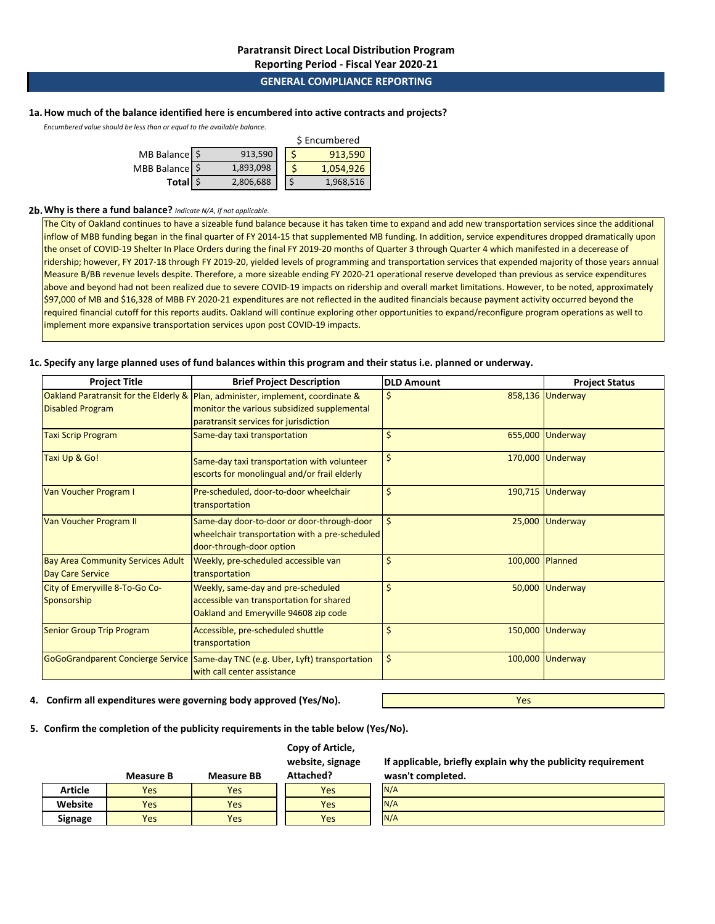# **Reporting Period - Fiscal Year 2020-21**

## **GENERAL COMPLIANCE REPORTING**

#### **1a.How much of the balance identified here is encumbered into active contracts and projects?**

*Encumbered value should be less than or equal to the available balance.* 

|                |           |  | \$ Encumbered |
|----------------|-----------|--|---------------|
| MB Balance \$  | 913,590   |  | 913,590       |
| MBB Balance \$ | 1,893,098 |  | 1,054,926     |
| Total \$       | 2,806,688 |  | 1,968,516     |

### **2b.Why is there a fund balance?** *Indicate N/A, if not applicable.*

The City of Oakland continues to have a sizeable fund balance because it has taken time to expand and add new transportation services since the additional inflow of MBB funding began in the final quarter of FY 2014-15 that supplemented MB funding. In addition, service expenditures dropped dramatically upon the onset of COVID-19 Shelter In Place Orders during the final FY 2019-20 months of Quarter 3 through Quarter 4 which manifested in a decerease of ridership; however, FY 2017-18 through FY 2019-20, yielded levels of programming and transportation services that expended majority of those years annual Measure B/BB revenue levels despite. Therefore, a more sizeable ending FY 2020-21 operational reserve developed than previous as service expenditures above and beyond had not been realized due to severe COVID-19 impacts on ridership and overall market limitations. However, to be noted, approximately \$97,000 of MB and \$16,328 of MBB FY 2020-21 expenditures are not reflected in the audited financials because payment activity occurred beyond the required financial cutoff for this reports audits. Oakland will continue exploring other opportunities to expand/reconfigure program operations as well to implement more expansive transportation services upon post COVID-19 impacts.

#### **1c. Specify any large planned uses of fund balances within this program and their status i.e. planned or underway.**

| <b>Project Title</b>                                                | <b>Brief Project Description</b>                                                                                                  | <b>DLD Amount</b>     | <b>Project Status</b> |
|---------------------------------------------------------------------|-----------------------------------------------------------------------------------------------------------------------------------|-----------------------|-----------------------|
| Oakland Paratransit for the Elderly &<br><b>Disabled Program</b>    | Plan, administer, implement, coordinate &<br>monitor the various subsidized supplemental<br>paratransit services for jurisdiction | S                     | 858,136 Underway      |
| <b>Taxi Scrip Program</b>                                           | Same-day taxi transportation                                                                                                      | \$                    | 655,000 Underway      |
| Taxi Up & Go!                                                       | Same-day taxi transportation with volunteer<br>escorts for monolingual and/or frail elderly                                       | \$                    | 170,000 Underway      |
| Van Voucher Program I                                               | Pre-scheduled, door-to-door wheelchair<br>transportation                                                                          | \$                    | 190,715 Underway      |
| Van Voucher Program II                                              | Same-day door-to-door or door-through-door<br>wheelchair transportation with a pre-scheduled<br>door-through-door option          | \$<br>25,000          | Underway              |
| <b>Bay Area Community Services Adult</b><br><b>Day Care Service</b> | Weekly, pre-scheduled accessible van<br>transportation                                                                            | \$<br>100,000 Planned |                       |
| City of Emeryville 8-To-Go Co-<br>Sponsorship                       | Weekly, same-day and pre-scheduled<br>accessible van transportation for shared<br>Oakland and Emeryville 94608 zip code           | \$                    | 50,000 Underway       |
| <b>Senior Group Trip Program</b>                                    | Accessible, pre-scheduled shuttle<br>transportation                                                                               | \$                    | 150,000 Underway      |
|                                                                     | GoGoGrandparent Concierge Service Same-day TNC (e.g. Uber, Lyft) transportation<br>with call center assistance                    | \$                    | 100,000 Underway      |

**4. Confirm all expenditures were governing body approved (Yes/No).**

Yes

**5. Confirm the completion of the publicity requirements in the table below (Yes/No).**

| Copy of Article, |
|------------------|
| website, signage |

**If applicable, briefly explain why the publicity requirement** 

|         | <b>Measure B</b> | <b>Measure BB</b> | Attached? | wasn't completed. |
|---------|------------------|-------------------|-----------|-------------------|
| Article | Yes              | Yes               | Yes       | N/A               |
| Website | Yes              | Yes               | Yes       | N/A               |
| Signage | Yes              | Yes               | Yes       | N/A               |